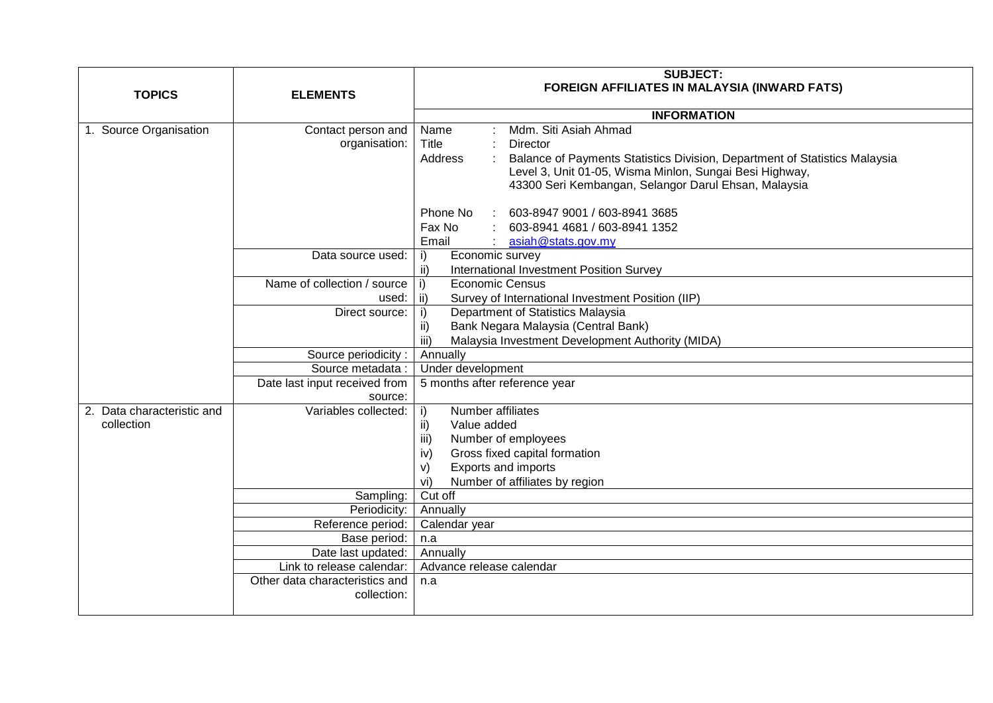|                            |                                                             | <b>SUBJECT:</b>                                                                       |
|----------------------------|-------------------------------------------------------------|---------------------------------------------------------------------------------------|
| <b>TOPICS</b>              | <b>ELEMENTS</b>                                             | <b>FOREIGN AFFILIATES IN MALAYSIA (INWARD FATS)</b>                                   |
|                            |                                                             | <b>INFORMATION</b>                                                                    |
| 1. Source Organisation     | Contact person and                                          | Mdm. Siti Asiah Ahmad<br>Name                                                         |
|                            | organisation:                                               | Title<br>Director                                                                     |
|                            |                                                             | Address<br>Balance of Payments Statistics Division, Department of Statistics Malaysia |
|                            |                                                             | Level 3, Unit 01-05, Wisma Minlon, Sungai Besi Highway,                               |
|                            |                                                             | 43300 Seri Kembangan, Selangor Darul Ehsan, Malaysia                                  |
|                            |                                                             | Phone No<br>603-8947 9001 / 603-8941 3685                                             |
|                            |                                                             | Fax No<br>603-8941 4681 / 603-8941 1352                                               |
|                            |                                                             | Email<br>asiah@stats.gov.my                                                           |
|                            | Data source used:                                           | Economic survey<br>i)                                                                 |
|                            |                                                             | ii)<br>International Investment Position Survey                                       |
|                            | Name of collection / source                                 | <b>Economic Census</b><br>i)                                                          |
|                            | used:                                                       | ii)<br>Survey of International Investment Position (IIP)                              |
|                            | Direct source:                                              | Department of Statistics Malaysia<br>i)                                               |
|                            |                                                             | Bank Negara Malaysia (Central Bank)<br>ii)<br>iii)                                    |
|                            | Source periodicity:                                         | Malaysia Investment Development Authority (MIDA)<br>Annually                          |
|                            | Source metadata :                                           | Under development                                                                     |
|                            | Date last input received from                               | 5 months after reference year                                                         |
|                            | source:                                                     |                                                                                       |
| 2. Data characteristic and | Variables collected:                                        | Number affiliates<br>i)                                                               |
| collection                 |                                                             | Value added<br>ii)                                                                    |
|                            |                                                             | iii)<br>Number of employees                                                           |
|                            |                                                             | iv)<br>Gross fixed capital formation                                                  |
|                            |                                                             | Exports and imports<br>V)                                                             |
|                            |                                                             | Number of affiliates by region<br>vi)                                                 |
|                            | Sampling:                                                   | Cut off                                                                               |
|                            | Periodicity:                                                | Annually                                                                              |
|                            | Reference period:                                           | Calendar year                                                                         |
|                            | Base period:                                                | n.a                                                                                   |
|                            | Date last updated:                                          | Annually<br>Advance release calendar                                                  |
|                            | Link to release calendar:<br>Other data characteristics and |                                                                                       |
|                            | collection:                                                 | n.a                                                                                   |
|                            |                                                             |                                                                                       |